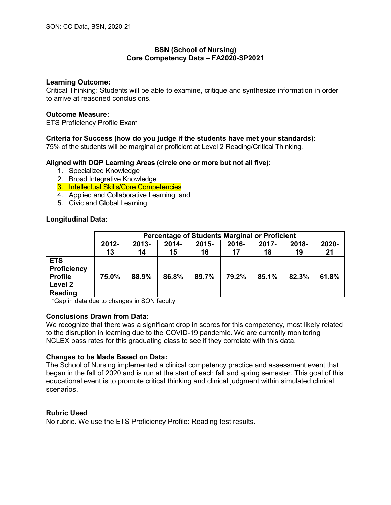## **BSN (School of Nursing) Core Competency Data – FA2020-SP2021**

### **Learning Outcome:**

Critical Thinking: Students will be able to examine, critique and synthesize information in order to arrive at reasoned conclusions.

### **Outcome Measure:**

ETS Proficiency Profile Exam

## **Criteria for Success (how do you judge if the students have met your standards):**

75% of the students will be marginal or proficient at Level 2 Reading/Critical Thinking.

### **Aligned with DQP Learning Areas (circle one or more but not all five):**

- 1. Specialized Knowledge
- 2. Broad Integrative Knowledge
- 3. Intellectual Skills/Core Competencies
- 4. Applied and Collaborative Learning, and
- 5. Civic and Global Learning

### **Longitudinal Data:**

|                                                                          | <b>Percentage of Students Marginal or Proficient</b> |                |                |                |                |                |             |             |  |
|--------------------------------------------------------------------------|------------------------------------------------------|----------------|----------------|----------------|----------------|----------------|-------------|-------------|--|
|                                                                          | $2012 -$<br>13                                       | $2013 -$<br>14 | $2014 -$<br>15 | $2015 -$<br>16 | $2016 -$<br>17 | $2017 -$<br>18 | 2018-<br>19 | 2020-<br>21 |  |
| <b>ETS</b><br><b>Proficiency</b><br><b>Profile</b><br>Level 2<br>Reading | 75.0%                                                | 88.9%          | 86.8%          | 89.7%          | 79.2%          | 85.1%          | 82.3%       | 61.8%       |  |

\*Gap in data due to changes in SON faculty

### **Conclusions Drawn from Data:**

We recognize that there was a significant drop in scores for this competency, most likely related to the disruption in learning due to the COVID-19 pandemic. We are currently monitoring NCLEX pass rates for this graduating class to see if they correlate with this data.

### **Changes to be Made Based on Data:**

The School of Nursing implemented a clinical competency practice and assessment event that began in the fall of 2020 and is run at the start of each fall and spring semester. This goal of this educational event is to promote critical thinking and clinical judgment within simulated clinical scenarios.

#### **Rubric Used**

No rubric. We use the ETS Proficiency Profile: Reading test results.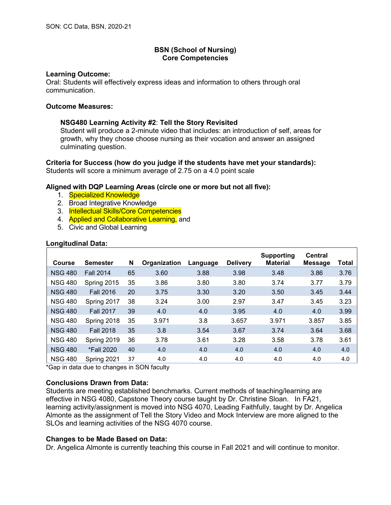### **Learning Outcome:**

Oral: Students will effectively express ideas and information to others through oral communication.

### **Outcome Measures:**

### **NSG480 Learning Activity #2**: **Tell the Story Revisited**

Student will produce a 2-minute video that includes: an introduction of self, areas for growth, why they chose choose nursing as their vocation and answer an assigned culminating question.

#### **Criteria for Success (how do you judge if the students have met your standards):** Students will score a minimum average of 2.75 on a 4.0 point scale

### **Aligned with DQP Learning Areas (circle one or more but not all five):**

- 1. Specialized Knowledge
- 2. Broad Integrative Knowledge
- 3. Intellectual Skills/Core Competencies
- 4. **Applied and Collaborative Learning, and**
- 5. Civic and Global Learning

| Longitudinal Data: |  |
|--------------------|--|
|                    |  |

| Course         | <b>Semester</b>  | N  | Organization | Language | <b>Delivery</b> | Supporting<br><b>Material</b> | <b>Central</b><br><b>Message</b> | Total |
|----------------|------------------|----|--------------|----------|-----------------|-------------------------------|----------------------------------|-------|
| <b>NSG 480</b> | <b>Fall 2014</b> | 65 | 3.60         | 3.88     | 3.98            | 3.48                          | 3.86                             | 3.76  |
| <b>NSG 480</b> | Spring 2015      | 35 | 3.86         | 3.80     | 3.80            | 3.74                          | 3.77                             | 3.79  |
| <b>NSG 480</b> | <b>Fall 2016</b> | 20 | 3.75         | 3.30     | 3.20            | 3.50                          | 3.45                             | 3.44  |
| <b>NSG 480</b> | Spring 2017      | 38 | 3.24         | 3.00     | 2.97            | 3.47                          | 3.45                             | 3.23  |
| <b>NSG 480</b> | <b>Fall 2017</b> | 39 | 4.0          | 4.0      | 3.95            | 4.0                           | 4.0                              | 3.99  |
| <b>NSG 480</b> | Spring 2018      | 35 | 3.971        | 3.8      | 3.657           | 3.971                         | 3.857                            | 3.85  |
| <b>NSG 480</b> | <b>Fall 2018</b> | 35 | 3.8          | 3.54     | 3.67            | 3.74                          | 3.64                             | 3.68  |
| <b>NSG 480</b> | Spring 2019      | 36 | 3.78         | 3.61     | 3.28            | 3.58                          | 3.78                             | 3.61  |
| <b>NSG 480</b> | *Fall 2020       | 40 | 4.0          | 4.0      | 4.0             | 4.0                           | 4.0                              | 4.0   |
| <b>NSG 480</b> | Spring 2021      | 37 | 4.0          | 4.0      | 4.0             | 4.0                           | 4.0                              | 4.0   |

\*Gap in data due to changes in SON faculty

### **Conclusions Drawn from Data:**

Students are meeting established benchmarks. Current methods of teaching/learning are effective in NSG 4080, Capstone Theory course taught by Dr. Christine Sloan. In FA21, learning activity/assignment is moved into NSG 4070, Leading Faithfully, taught by Dr. Angelica Almonte as the assignment of Tell the Story Video and Mock Interview are more aligned to the SLOs and learning activities of the NSG 4070 course.

### **Changes to be Made Based on Data:**

Dr. Angelica Almonte is currently teaching this course in Fall 2021 and will continue to monitor.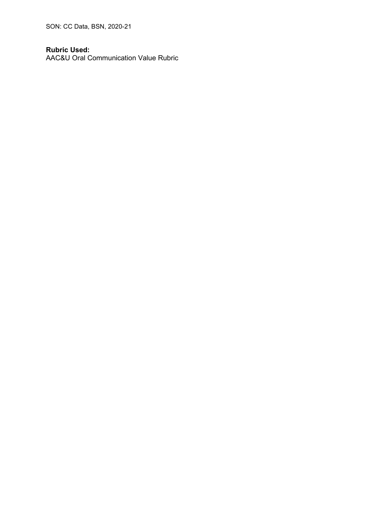SON: CC Data, BSN, 2020-21

# **Rubric Used:**

AAC&U Oral Communication Value Rubric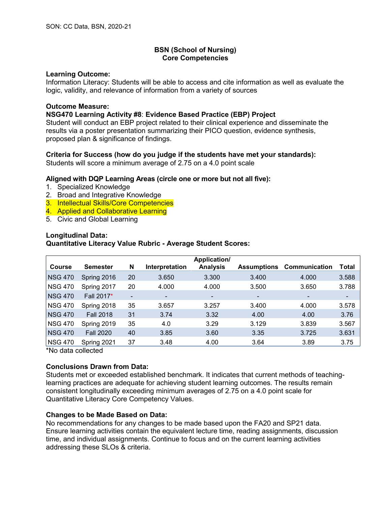### **Learning Outcome:**

Information Literacy: Students will be able to access and cite information as well as evaluate the logic, validity, and relevance of information from a variety of sources

### **Outcome Measure:**

## **NSG470 Learning Activity #8**: **Evidence Based Practice (EBP) Project**

Student will conduct an EBP project related to their clinical experience and disseminate the results via a poster presentation summarizing their PICO question, evidence synthesis, proposed plan & significance of findings.

## **Criteria for Success (how do you judge if the students have met your standards):**

Students will score a minimum average of 2.75 on a 4.0 point scale

## **Aligned with DQP Learning Areas (circle one or more but not all five):**

- 1. Specialized Knowledge
- 2. Broad and Integrative Knowledge
- 3. Intellectual Skills/Core Competencies
- 4. Applied and Collaborative Learning
- 5. Civic and Global Learning

## **Longitudinal Data:**

## **Quantitative Literacy Value Rubric - Average Student Scores:**

|                |                  |    |                | Application/             |                          |                          |       |
|----------------|------------------|----|----------------|--------------------------|--------------------------|--------------------------|-------|
| <b>Course</b>  | <b>Semester</b>  | N  | Interpretation | <b>Analysis</b>          | <b>Assumptions</b>       | <b>Communication</b>     | Total |
| <b>NSG 470</b> | Spring 2016      | 20 | 3.650          | 3.300                    | 3.400                    | 4.000                    | 3.588 |
| <b>NSG 470</b> | Spring 2017      | 20 | 4.000          | 4.000                    | 3.500                    | 3.650                    | 3.788 |
| <b>NSG 470</b> | Fall 2017*       | ۰  | $\blacksquare$ | $\overline{\phantom{a}}$ | $\overline{\phantom{a}}$ | $\overline{\phantom{a}}$ | ۰.    |
| <b>NSG 470</b> | Spring 2018      | 35 | 3.657          | 3.257                    | 3.400                    | 4.000                    | 3.578 |
| <b>NSG 470</b> | <b>Fall 2018</b> | 31 | 3.74           | 3.32                     | 4.00                     | 4.00                     | 3.76  |
| <b>NSG 470</b> | Spring 2019      | 35 | 4.0            | 3.29                     | 3.129                    | 3.839                    | 3.567 |
| <b>NSG 470</b> | <b>Fall 2020</b> | 40 | 3.85           | 3.60                     | 3.35                     | 3.725                    | 3.631 |
| <b>NSG 470</b> | Spring 2021      | 37 | 3.48           | 4.00                     | 3.64                     | 3.89                     | 3.75  |

\*No data collected

# **Conclusions Drawn from Data:**

Students met or exceeded established benchmark. It indicates that current methods of teachinglearning practices are adequate for achieving student learning outcomes. The results remain consistent longitudinally exceeding minimum averages of 2.75 on a 4.0 point scale for Quantitative Literacy Core Competency Values.

### **Changes to be Made Based on Data:**

No recommendations for any changes to be made based upon the FA20 and SP21 data. Ensure learning activities contain the equivalent lecture time, reading assignments, discussion time, and individual assignments. Continue to focus and on the current learning activities addressing these SLOs & criteria.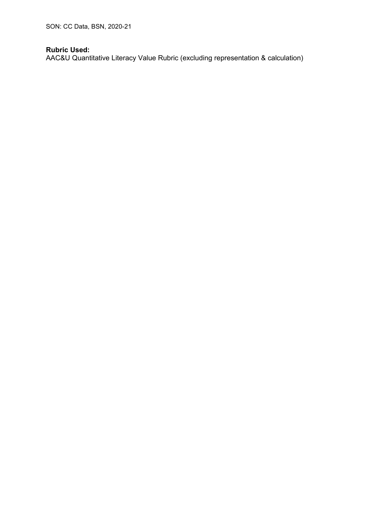SON: CC Data, BSN, 2020-21

# **Rubric Used:**

AAC&U Quantitative Literacy Value Rubric (excluding representation & calculation)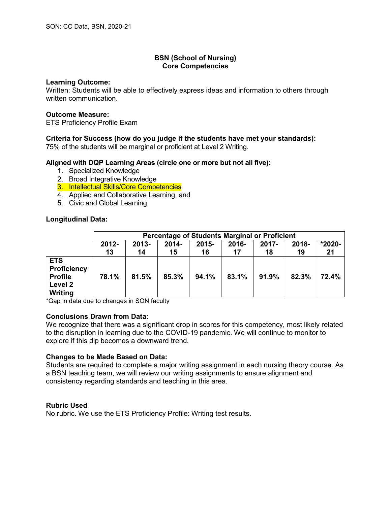#### **Learning Outcome:**

Written: Students will be able to effectively express ideas and information to others through written communication.

### **Outcome Measure:**

ETS Proficiency Profile Exam

# **Criteria for Success (how do you judge if the students have met your standards):**

75% of the students will be marginal or proficient at Level 2 Writing.

## **Aligned with DQP Learning Areas (circle one or more but not all five):**

- 1. Specialized Knowledge
- 2. Broad Integrative Knowledge
- 3. Intellectual Skills/Core Competencies
- 4. Applied and Collaborative Learning, and
- 5. Civic and Global Learning

## **Longitudinal Data:**

|                                                                          | <b>Percentage of Students Marginal or Proficient</b> |                |                |                |             |                |             |                |  |
|--------------------------------------------------------------------------|------------------------------------------------------|----------------|----------------|----------------|-------------|----------------|-------------|----------------|--|
|                                                                          | 2012-<br>13                                          | $2013 -$<br>14 | $2014 -$<br>15 | $2015 -$<br>16 | 2016-<br>17 | $2017 -$<br>18 | 2018-<br>19 | $*2020-$<br>21 |  |
| <b>ETS</b><br><b>Proficiency</b><br><b>Profile</b><br>Level 2<br>Writing | 78.1%                                                | 81.5%          | 85.3%          | 94.1%          | 83.1%       | $91.9\%$       | 82.3%       | 72.4%          |  |

\*Gap in data due to changes in SON faculty

### **Conclusions Drawn from Data:**

We recognize that there was a significant drop in scores for this competency, most likely related to the disruption in learning due to the COVID-19 pandemic. We will continue to monitor to explore if this dip becomes a downward trend.

### **Changes to be Made Based on Data:**

Students are required to complete a major writing assignment in each nursing theory course. As a BSN teaching team, we will review our writing assignments to ensure alignment and consistency regarding standards and teaching in this area.

### **Rubric Used**

No rubric. We use the ETS Proficiency Profile: Writing test results.